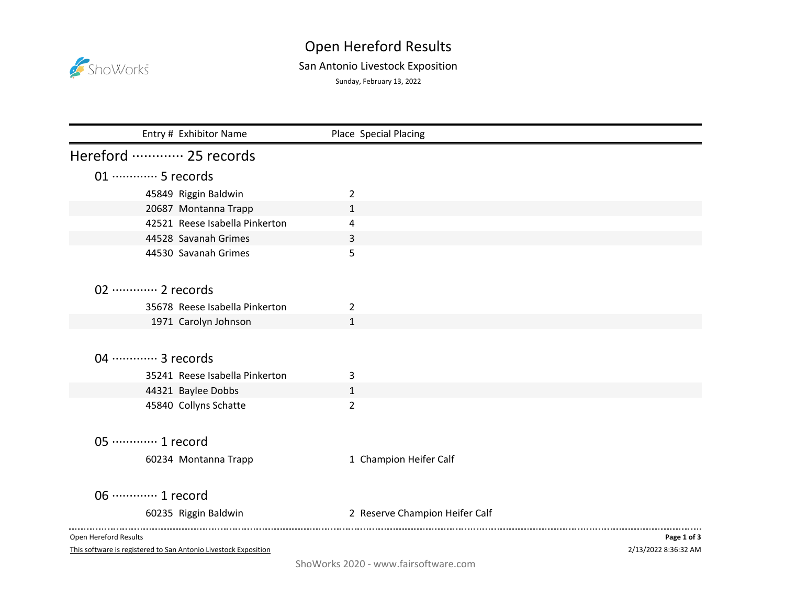

## Open Hereford Results

## San Antonio Livestock Exposition

Sunday, February 13, 2022

| Entry # Exhibitor Name         | Place Special Placing          |             |
|--------------------------------|--------------------------------|-------------|
| Hereford  25 records           |                                |             |
| 01 ·············· 5 records    |                                |             |
| 45849 Riggin Baldwin           | 2                              |             |
| 20687 Montanna Trapp           | $\mathbf{1}$                   |             |
| 42521 Reese Isabella Pinkerton | 4                              |             |
| 44528 Savanah Grimes           | 3                              |             |
| 44530 Savanah Grimes           | 5                              |             |
|                                |                                |             |
| 02 ············· 2 records     |                                |             |
| 35678 Reese Isabella Pinkerton | 2                              |             |
| 1971 Carolyn Johnson           | $\mathbf{1}$                   |             |
|                                |                                |             |
| 04 ………… 3 records              |                                |             |
|                                |                                |             |
| 35241 Reese Isabella Pinkerton | 3                              |             |
| 44321 Baylee Dobbs             | $\mathbf{1}$                   |             |
| 45840 Collyns Schatte          | $\overline{2}$                 |             |
|                                |                                |             |
| 05 ············· 1 record      |                                |             |
| 60234 Montanna Trapp           | 1 Champion Heifer Calf         |             |
|                                |                                |             |
| 06 ············· 1 record      |                                |             |
| 60235 Riggin Baldwin           | 2 Reserve Champion Heifer Calf |             |
|                                |                                |             |
| Open Hereford Results          |                                | Page 1 of 3 |

This software is registered to San Antonio Livestock Exposition

2/13/2022 8:36:32 AM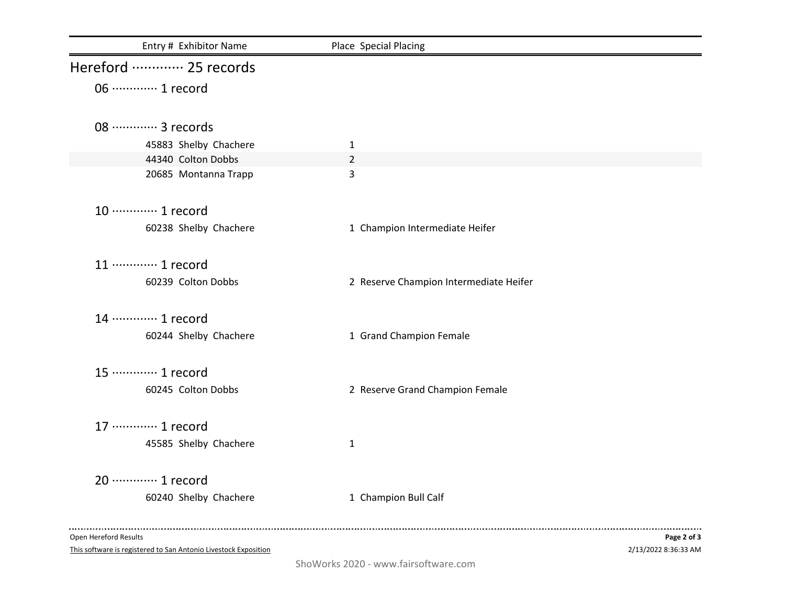| Hereford  25 records<br>06 ············· 1 record<br>08 ………… 3 records<br>45883 Shelby Chachere<br>$\mathbf{1}$<br>44340 Colton Dobbs<br>$\overline{2}$<br>3<br>20685 Montanna Trapp<br>10 ············· 1 record<br>60238 Shelby Chachere<br>1 Champion Intermediate Heifer<br>11 ………… 1 record<br>60239 Colton Dobbs<br>2 Reserve Champion Intermediate Heifer<br>14 ………… 1 record | Entry # Exhibitor Name | Place Special Placing |
|--------------------------------------------------------------------------------------------------------------------------------------------------------------------------------------------------------------------------------------------------------------------------------------------------------------------------------------------------------------------------------------|------------------------|-----------------------|
|                                                                                                                                                                                                                                                                                                                                                                                      |                        |                       |
|                                                                                                                                                                                                                                                                                                                                                                                      |                        |                       |
|                                                                                                                                                                                                                                                                                                                                                                                      |                        |                       |
|                                                                                                                                                                                                                                                                                                                                                                                      |                        |                       |
|                                                                                                                                                                                                                                                                                                                                                                                      |                        |                       |
|                                                                                                                                                                                                                                                                                                                                                                                      |                        |                       |
|                                                                                                                                                                                                                                                                                                                                                                                      |                        |                       |
|                                                                                                                                                                                                                                                                                                                                                                                      |                        |                       |
|                                                                                                                                                                                                                                                                                                                                                                                      |                        |                       |
|                                                                                                                                                                                                                                                                                                                                                                                      |                        |                       |
|                                                                                                                                                                                                                                                                                                                                                                                      |                        |                       |
|                                                                                                                                                                                                                                                                                                                                                                                      |                        |                       |
|                                                                                                                                                                                                                                                                                                                                                                                      |                        |                       |
|                                                                                                                                                                                                                                                                                                                                                                                      |                        |                       |
| 60244 Shelby Chachere<br>1 Grand Champion Female                                                                                                                                                                                                                                                                                                                                     |                        |                       |
|                                                                                                                                                                                                                                                                                                                                                                                      |                        |                       |
| 15 ············· 1 record                                                                                                                                                                                                                                                                                                                                                            |                        |                       |
| 60245 Colton Dobbs<br>2 Reserve Grand Champion Female                                                                                                                                                                                                                                                                                                                                |                        |                       |
| 17 ············· 1 record                                                                                                                                                                                                                                                                                                                                                            |                        |                       |
|                                                                                                                                                                                                                                                                                                                                                                                      |                        |                       |
| 45585 Shelby Chachere<br>$\mathbf{1}$                                                                                                                                                                                                                                                                                                                                                |                        |                       |
| 20 ············· 1 record                                                                                                                                                                                                                                                                                                                                                            |                        |                       |
| 60240 Shelby Chachere<br>1 Champion Bull Calf                                                                                                                                                                                                                                                                                                                                        |                        |                       |
|                                                                                                                                                                                                                                                                                                                                                                                      |                        |                       |

Open Hereford Results

This software is registered to San Antonio Livestock Exposition